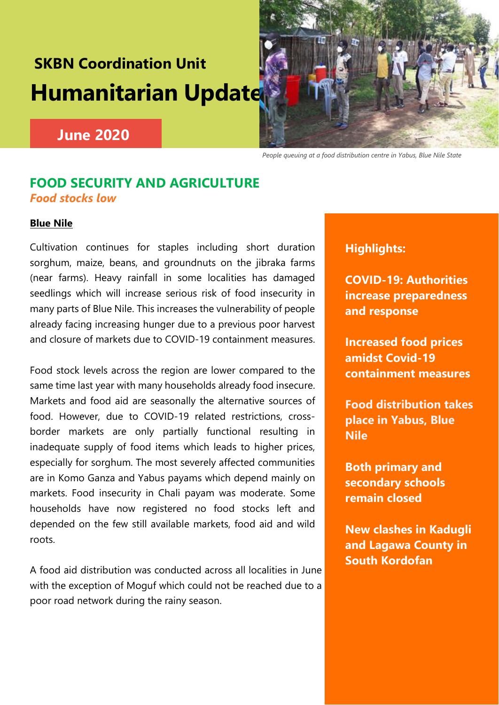# **SKBN Coordination Unit Humanitarian Update**



# **June 2020**

 *People queuing at a food distribution centre in Yabus, Blue Nile State*

# **FOOD SECURITY AND AGRICULTURE**  *Food stocks low*

## **Blue Nile**

Cultivation continues for staples including short duration sorghum, maize, beans, and groundnuts on the jibraka farms (near farms). Heavy rainfall in some localities has damaged seedlings which will increase serious risk of food insecurity in many parts of Blue Nile. This increases the vulnerability of people already facing increasing hunger due to a previous poor harvest and closure of markets due to COVID-19 containment measures.

Food stock levels across the region are lower compared to the same time last year with many households already food insecure. Markets and food aid are seasonally the alternative sources of food. However, due to COVID-19 related restrictions, crossborder markets are only partially functional resulting in inadequate supply of food items which leads to higher prices, especially for sorghum. The most severely affected communities are in Komo Ganza and Yabus payams which depend mainly on markets. Food insecurity in Chali payam was moderate. Some households have now registered no food stocks left and depended on the few still available markets, food aid and wild roots.

A food aid distribution was conducted across all localities in June with the exception of Moguf which could not be reached due to a poor road network during the rainy season.

## **Highlights:**

**COVID-19: Authorities increase preparedness and response**

**Increased food prices amidst Covid-19 containment measures**

**Food distribution takes place in Yabus, Blue Nile**

**Both primary and secondary schools remain closed**

**New clashes in Kadugli and Lagawa County in South Kordofan**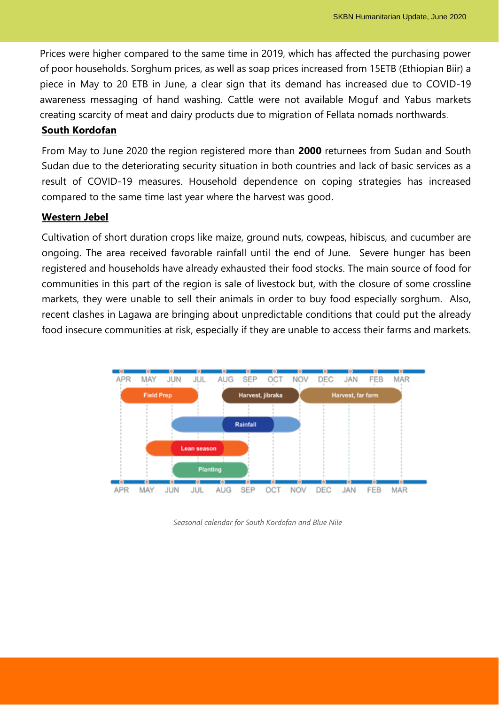Prices were higher compared to the same time in 2019, which has affected the purchasing power of poor households. Sorghum prices, as well as soap prices increased from 15ETB (Ethiopian Biir) a piece in May to 20 ETB in June, a clear sign that its demand has increased due to COVID-19 awareness messaging of hand washing. Cattle were not available Moguf and Yabus markets creating scarcity of meat and dairy products due to migration of Fellata nomads northwards.

## **South Kordofan**

From May to June 2020 the region registered more than **2000** returnees from Sudan and South Sudan due to the deteriorating security situation in both countries and lack of basic services as a result of COVID-19 measures. Household dependence on coping strategies has increased compared to the same time last year where the harvest was good.

## **Western Jebel**

Cultivation of short duration crops like maize, ground nuts, cowpeas, hibiscus, and cucumber are ongoing. The area received favorable rainfall until the end of June. Severe hunger has been registered and households have already exhausted their food stocks. The main source of food for communities in this part of the region is sale of livestock but, with the closure of some crossline markets, they were unable to sell their animals in order to buy food especially sorghum. Also, recent clashes in Lagawa are bringing about unpredictable conditions that could put the already food insecure communities at risk, especially if they are unable to access their farms and markets.



*Seasonal calendar for South Kordofan and Blue Nile*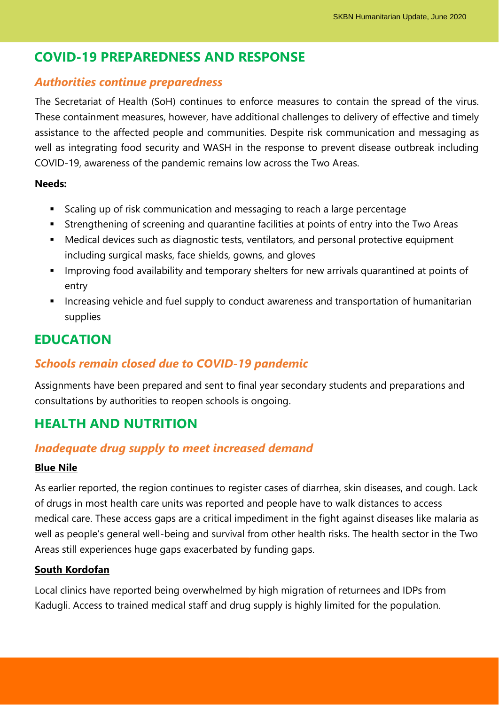# **COVID-19 PREPAREDNESS AND RESPONSE**

## *Authorities continue preparedness*

The Secretariat of Health (SoH) continues to enforce measures to contain the spread of the virus. These containment measures, however, have additional challenges to delivery of effective and timely assistance to the affected people and communities. Despite risk communication and messaging as well as integrating food security and WASH in the response to prevent disease outbreak including COVID-19, awareness of the pandemic remains low across the Two Areas.

## **Needs:**

- Scaling up of risk communication and messaging to reach a large percentage
- **EXTERGHTM** Strengthening of screening and quarantine facilities at points of entry into the Two Areas
- Medical devices such as diagnostic tests, ventilators, and personal protective equipment including surgical masks, face shields, gowns, and gloves
- **EXTER** Improving food availability and temporary shelters for new arrivals quarantined at points of entry
- **EXT** Increasing vehicle and fuel supply to conduct awareness and transportation of humanitarian supplies

# **EDUCATION**

## *Schools remain closed due to COVID-19 pandemic*

Assignments have been prepared and sent to final year secondary students and preparations and consultations by authorities to reopen schools is ongoing.

# **HEALTH AND NUTRITION**

## *Inadequate drug supply to meet increased demand*

## **Blue Nile**

As earlier reported, the region continues to register cases of diarrhea, skin diseases, and cough. Lack of drugs in most health care units was reported and people have to walk distances to access medical care. These access gaps are a critical impediment in the fight against diseases like malaria as well as people's general well-being and survival from other health risks. The health sector in the Two Areas still experiences huge gaps exacerbated by funding gaps.

## **South Kordofan**

Local clinics have reported being overwhelmed by high migration of returnees and IDPs from Kadugli. Access to trained medical staff and drug supply is highly limited for the population.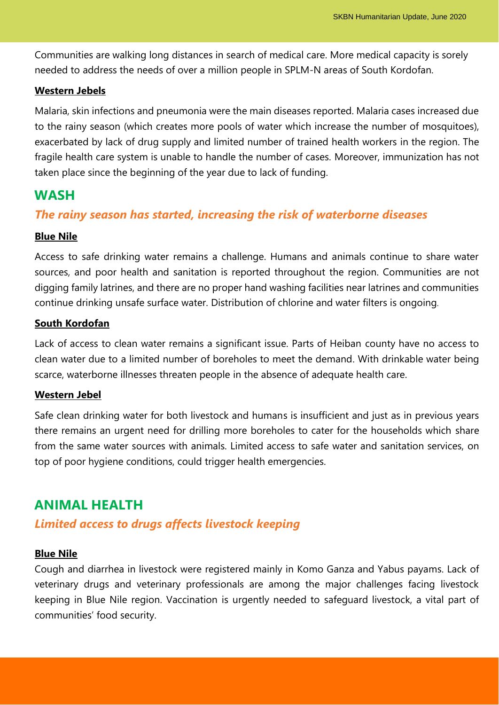Communities are walking long distances in search of medical care. More medical capacity is sorely needed to address the needs of over a million people in SPLM-N areas of South Kordofan.

### **Western Jebels**

Malaria, skin infections and pneumonia were the main diseases reported. Malaria cases increased due to the rainy season (which creates more pools of water which increase the number of mosquitoes), exacerbated by lack of drug supply and limited number of trained health workers in the region. The fragile health care system is unable to handle the number of cases. Moreover, immunization has not taken place since the beginning of the year due to lack of funding.

## **WASH**

## *The rainy season has started, increasing the risk of waterborne diseases*

#### **Blue Nile**

Access to safe drinking water remains a challenge. Humans and animals continue to share water sources, and poor health and sanitation is reported throughout the region. Communities are not digging family latrines, and there are no proper hand washing facilities near latrines and communities continue drinking unsafe surface water. Distribution of chlorine and water filters is ongoing.

#### **South Kordofan**

Lack of access to clean water remains a significant issue. Parts of Heiban county have no access to clean water due to a limited number of boreholes to meet the demand. With drinkable water being scarce, waterborne illnesses threaten people in the absence of adequate health care.

#### **Western Jebel**

Safe clean drinking water for both livestock and humans is insufficient and just as in previous years there remains an urgent need for drilling more boreholes to cater for the households which share from the same water sources with animals. Limited access to safe water and sanitation services, on top of poor hygiene conditions, could trigger health emergencies.

## **ANIMAL HEALTH**

## *Limited access to drugs affects livestock keeping*

#### **Blue Nile**

Cough and diarrhea in livestock were registered mainly in Komo Ganza and Yabus payams. Lack of veterinary drugs and veterinary professionals are among the major challenges facing livestock keeping in Blue Nile region. Vaccination is urgently needed to safeguard livestock, a vital part of communities' food security.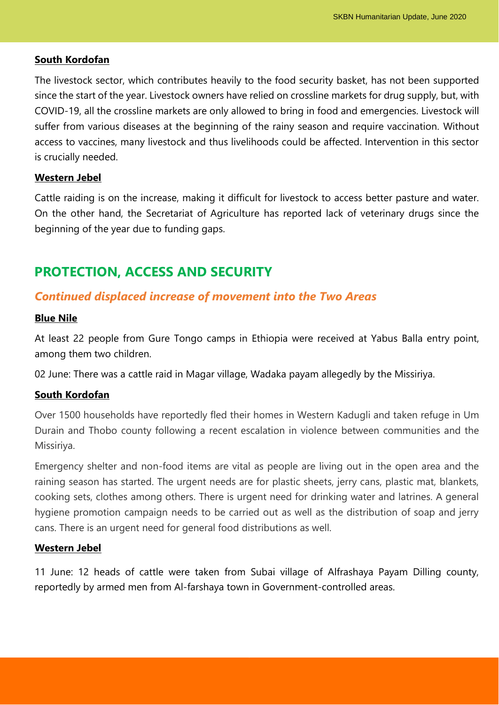#### **South Kordofan**

The livestock sector, which contributes heavily to the food security basket, has not been supported since the start of the year. Livestock owners have relied on crossline markets for drug supply, but, with COVID-19, all the crossline markets are only allowed to bring in food and emergencies. Livestock will suffer from various diseases at the beginning of the rainy season and require vaccination. Without access to vaccines, many livestock and thus livelihoods could be affected. Intervention in this sector is crucially needed.

## **Western Jebel**

Cattle raiding is on the increase, making it difficult for livestock to access better pasture and water. On the other hand, the Secretariat of Agriculture has reported lack of veterinary drugs since the beginning of the year due to funding gaps.

## **PROTECTION, ACCESS AND SECURITY**

## *Continued displaced increase of movement into the Two Areas*

#### **Blue Nile**

At least 22 people from Gure Tongo camps in Ethiopia were received at Yabus Balla entry point, among them two children.

02 June: There was a cattle raid in Magar village, Wadaka payam allegedly by the Missiriya.

#### **South Kordofan**

Over 1500 households have reportedly fled their homes in Western Kadugli and taken refuge in Um Durain and Thobo county following a recent escalation in violence between communities and the Missiriya.

Emergency shelter and non-food items are vital as people are living out in the open area and the raining season has started. The urgent needs are for plastic sheets, jerry cans, plastic mat, blankets, cooking sets, clothes among others. There is urgent need for drinking water and latrines. A general hygiene promotion campaign needs to be carried out as well as the distribution of soap and jerry cans. There is an urgent need for general food distributions as well.

#### **Western Jebel**

11 June: 12 heads of cattle were taken from Subai village of Alfrashaya Payam Dilling county, reportedly by armed men from Al-farshaya town in Government-controlled areas.